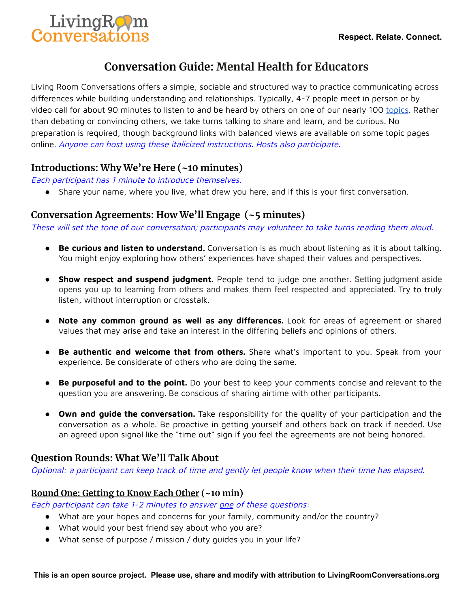

# **Conversation Guide: Mental Health for Educators**

Living Room Conversations offers a simple, sociable and structured way to practice communicating across differences while building understanding and relationships. Typically, 4-7 people meet in person or by video call for about 90 minutes to listen to and be heard by others on one of our nearly 100 [topics](https://www.livingroomconversations.org/topics/). Rather than debating or convincing others, we take turns talking to share and learn, and be curious. No preparation is required, though background links with balanced views are available on some topic pages online. Anyone can host using these italicized instructions. Hosts also participate.

# **Introductions: Why We're Here (~10 minutes)**

Each participant has 1 minute to introduce themselves.

● Share your name, where you live, what drew you here, and if this is your first conversation.

# **Conversation Agreements: How We'll Engage (~5 minutes)**

These will set the tone of our conversation; participants may volunteer to take turns reading them aloud.

- **Be curious and listen to understand.** Conversation is as much about listening as it is about talking. You might enjoy exploring how others' experiences have shaped their values and perspectives.
- **Show respect and suspend judgment.** People tend to judge one another. Setting judgment aside opens you up to learning from others and makes them feel respected and appreciated. Try to truly listen, without interruption or crosstalk.
- **Note any common ground as well as any differences.** Look for areas of agreement or shared values that may arise and take an interest in the differing beliefs and opinions of others.
- **Be authentic and welcome that from others.** Share what's important to you. Speak from your experience. Be considerate of others who are doing the same.
- **Be purposeful and to the point.** Do your best to keep your comments concise and relevant to the question you are answering. Be conscious of sharing airtime with other participants.
- **Own and guide the conversation.** Take responsibility for the quality of your participation and the conversation as a whole. Be proactive in getting yourself and others back on track if needed. Use an agreed upon signal like the "time out" sign if you feel the agreements are not being honored.

# **Question Rounds: What We'll Talk About**

Optional: <sup>a</sup> participant can keep track of time and gently let people know when their time has elapsed.

## **Round One: Getting to Know Each Other (~10 min)**

Each participant can take 1-2 minutes to answer one of these questions:

- What are your hopes and concerns for your family, community and/or the country?
- What would your best friend say about who you are?
- What sense of purpose / mission / duty guides you in your life?